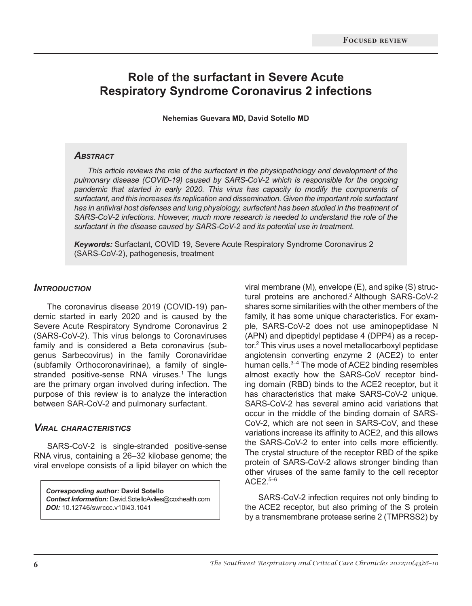# **Role of the surfactant in Severe Acute Respiratory Syndrome Coronavirus 2 infections**

**Nehemias Guevara MD, David Sotello MD**

#### *Abstract*

*This article reviews the role of the surfactant in the physiopathology and development of the pulmonary disease (COVID-19) caused by SARS-CoV-2 which is responsible for the ongoing pandemic that started in early 2020. This virus has capacity to modify the components of surfactant, and this increases its replication and dissemination. Given the important role surfactant has in antiviral host defenses and lung physiology, surfactant has been studied in the treatment of SARS-CoV-2 infections. However, much more research is needed to understand the role of the surfactant in the disease caused by SARS-CoV-2 and its potential use in treatment.*

*Keywords:* Surfactant, COVID 19, Severe Acute Respiratory Syndrome Coronavirus 2 (SARS-CoV-2), pathogenesis, treatment

### *Introduction*

The coronavirus disease 2019 (COVID-19) pandemic started in early 2020 and is caused by the Severe Acute Respiratory Syndrome Coronavirus 2 (SARS-CoV-2). This virus belongs to Coronaviruses family and is considered a Beta coronavirus (subgenus Sarbecovirus) in the family Coronaviridae (subfamily Orthocoronavirinae), a family of singlestranded positive-sense RNA viruses.<sup>1</sup> The lungs are the primary organ involved during infection. The purpose of this review is to analyze the interaction between SAR-CoV-2 and pulmonary surfactant.

#### *Viral characteristics*

SARS-CoV-2 is single-stranded positive-sense RNA virus, containing a 26–32 kilobase genome; the viral envelope consists of a lipid bilayer on which the

*Corresponding author:* **David Sotello** *Contact Information:* David.SotelloAviles@coxhealth.com *DOI:* 10.12746/swrccc.v10i43.1041

viral membrane (M), envelope (E), and spike (S) structural proteins are anchored.<sup>2</sup> Although SARS-CoV-2 shares some similarities with the other members of the family, it has some unique characteristics. For example, SARS-CoV-2 does not use aminopeptidase N (APN) and dipeptidyl peptidase 4 (DPP4) as a receptor.<sup>2</sup> This virus uses a novel metallocarboxyl peptidase angiotensin converting enzyme 2 (ACE2) to enter human cells.<sup>3-4</sup> The mode of ACE2 binding resembles almost exactly how the SARS-CoV receptor binding domain (RBD) binds to the ACE2 receptor, but it has characteristics that make SARS-CoV-2 unique. SARS-CoV-2 has several amino acid variations that occur in the middle of the binding domain of SARS-CoV-2, which are not seen in SARS-CoV, and these variations increase its affinity to ACE2, and this allows the SARS-CoV-2 to enter into cells more efficiently. The crystal structure of the receptor RBD of the spike protein of SARS-CoV-2 allows stronger binding than other viruses of the same family to the cell receptor  $ACE2.^{5-6}$ 

SARS-CoV-2 infection requires not only binding to the ACE2 receptor, but also priming of the S protein by a transmembrane protease serine 2 (TMPRSS2) by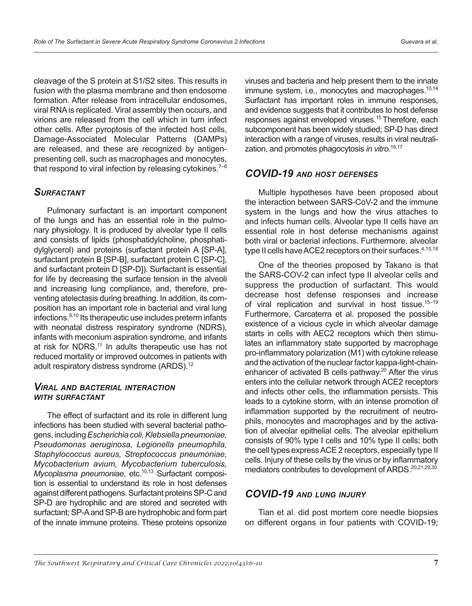cleavage of the S protein at S1/S2 sites. This results in fusion with the plasma membrane and then endosome formation. After release from intracellular endosomes, viral RNA is replicated. Viral assembly then occurs, and virions are released from the cell which in turn infect other cells. After pyroptosis of the infected host cells, Damage-Associated Molecular Patterns (DAMPs) are released, and these are recognized by antigenpresenting cell, such as macrophages and monocytes, that respond to viral infection by releasing cytokines.<sup> $7-8$ </sup>

## *Surfactant*

Pulmonary surfactant is an important component of the lungs and has an essential role in the pulmonary physiology. It is produced by alveolar type II cells and consists of lipids (phosphatidylcholine, phosphatidylglycerol) and proteins (surfactant protein A [SP-A], surfactant protein B [SP-B], surfactant protein C [SP-C], and surfactant protein D [SP-D]). Surfactant is essential for life by decreasing the surface tension in the alveoli and increasing lung compliance, and, therefore, preventing atelectasis during breathing. In addition, its composition has an important role in bacterial and viral lung infections.9,10 Its therapeutic use includes preterm infants with neonatal distress respiratory syndrome (NDRS), infants with meconium aspiration syndrome, and infants at risk for NDRS.<sup>11</sup> In adults therapeutic use has not reduced mortality or improved outcomes in patients with adult respiratory distress syndrome (ARDS).<sup>12</sup>

#### *Viral and bacterial interaction with surfactant*

The effect of surfactant and its role in different lung infections has been studied with several bacterial pathogens, including *Escherichia coli, Klebsiella pneumoniae, Pseudomonas aeruginosa, Legionella pneumophila, Staphylococcus aureus, Streptococcus pneumoniae, Mycobacterium avium, Mycobacterium tuberculosis, Mycoplasma pneumoniae*, etc.<sup>10,13</sup> Surfactant composition is essential to understand its role in host defenses against different pathogens. Surfactant proteins SP-C and SP-D are hydrophilic and are stored and secreted with surfactant; SP-A and SP-B are hydrophobic and form part of the innate immune proteins. These proteins opsonize viruses and bacteria and help present them to the innate immune system, i.e., monocytes and macrophages.<sup>10,14</sup> Surfactant has important roles in immune responses, and evidence suggests that it contributes to host defense responses against enveloped viruses.<sup>15</sup> Therefore, each subcomponent has been widely studied; SP-D has direct interaction with a range of viruses, results in viral neutralization, and promotes phagocytosis *in vitro*. 16,17

# *COVID-19 and host defenses*

Multiple hypotheses have been proposed about the interaction between SARS-CoV-2 and the immune system in the lungs and how the virus attaches to and infects human cells. Alveolar type II cells have an essential role in host defense mechanisms against both viral or bacterial infections. Furthermore, alveolar type II cells have ACE2 receptors on their surfaces.<sup>4,15,18</sup>

One of the theories proposed by Takano is that the SARS-COV-2 can infect type II alveolar cells and suppress the production of surfactant. This would decrease host defense responses and increase of viral replication and survival in host tissue.<sup>15–19</sup> Furthermore, Carcaterra et al. proposed the possible existence of a vicious cycle in which alveolar damage starts in cells with AEC2 receptors which then stimulates an inflammatory state supported by macrophage pro-inflammatory polarization (M1) with cytokine release and the activation of the nuclear factor kappa-light-chainenhancer of activated B cells pathway.<sup>20</sup> After the virus enters into the cellular network through ACE2 receptors and infects other cells, the inflammation persists. This leads to a cytokine storm, with an intense promotion of inflammation supported by the recruitment of neutrophils, monocytes and macrophages and by the activation of alveolar epithelial cells. The alveolar epithelium consists of 90% type I cells and 10% type II cells; both the cell types express ACE 2 receptors, especially type II cells. Injury of these cells by the virus or by inflammatory mediators contributes to development of ARDS.<sup>20,21,29,30</sup>

## *COVID-19 and lung injury*

Tian et al. did post mortem core needle biopsies on different organs in four patients with COVID-19;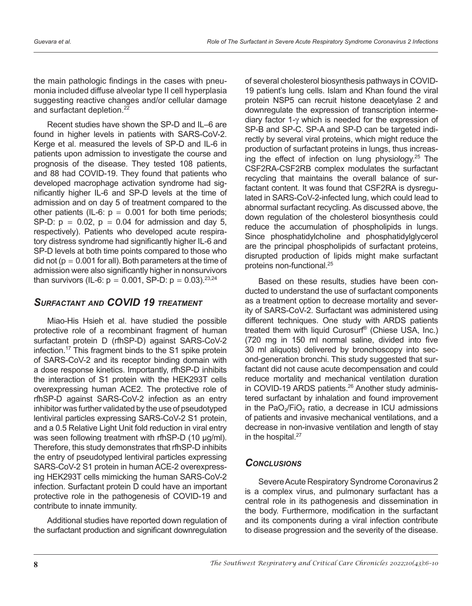the main pathologic findings in the cases with pneumonia included diffuse alveolar type II cell hyperplasia suggesting reactive changes and/or cellular damage and surfactant depletion.<sup>22</sup>

Recent studies have shown the SP-D and IL–6 are found in higher levels in patients with SARS-CoV-2. Kerge et al. measured the levels of SP-D and IL-6 in patients upon admission to investigate the course and prognosis of the disease. They tested 108 patients, and 88 had COVID-19. They found that patients who developed macrophage activation syndrome had significantly higher IL-6 and SP-D levels at the time of admission and on day 5 of treatment compared to the other patients (IL-6:  $p = 0.001$  for both time periods; SP-D:  $p = 0.02$ ,  $p = 0.04$  for admission and day 5, respectively). Patients who developed acute respiratory distress syndrome had significantly higher IL-6 and SP-D levels at both time points compared to those who did not ( $p = 0.001$  for all). Both parameters at the time of admission were also significantly higher in nonsurvivors than survivors (IL-6:  $p = 0.001$ , SP-D:  $p = 0.03$ ).<sup>23,24</sup>

# *Surfactant and COVID 19 treatment*

Miao-His Hsieh et al. have studied the possible protective role of a recombinant fragment of human surfactant protein D (rfhSP-D) against SARS-CoV-2 infection.17 This fragment binds to the S1 spike protein of SARS-CoV-2 and its receptor binding domain with a dose response kinetics. Importantly, rfhSP-D inhibits the interaction of S1 protein with the HEK293T cells overexpressing human ACE2. The protective role of rfhSP-D against SARS-CoV-2 infection as an entry inhibitor was further validated by the use of pseudotyped lentiviral particles expressing SARS-CoV-2 S1 protein, and a 0.5 Relative Light Unit fold reduction in viral entry was seen following treatment with rfhSP-D (10 µg/ml). Therefore, this study demonstrates that rfhSP-D inhibits the entry of pseudotyped lentiviral particles expressing SARS-CoV-2 S1 protein in human ACE-2 overexpressing HEK293T cells mimicking the human SARS-CoV-2 infection. Surfactant protein D could have an important protective role in the pathogenesis of COVID-19 and contribute to innate immunity.

Additional studies have reported down regulation of the surfactant production and significant downregulation

of several cholesterol biosynthesis pathways in COVID-19 patient's lung cells. Islam and Khan found the viral protein NSP5 can recruit histone deacetylase 2 and downregulate the expression of transcription intermediary factor 1-γ which is needed for the expression of SP-B and SP-C. SP-A and SP-D can be targeted indirectly by several viral proteins, which might reduce the production of surfactant proteins in lungs, thus increasing the effect of infection on lung physiology.<sup>25</sup> The CSF2RA-CSF2RB complex modulates the surfactant recycling that maintains the overall balance of surfactant content. It was found that CSF2RA is dysregulated in SARS-CoV-2-infected lung, which could lead to abnormal surfactant recycling. As discussed above, the down regulation of the cholesterol biosynthesis could reduce the accumulation of phospholipids in lungs. Since phosphatidylcholine and phosphatidylglycerol are the principal phospholipids of surfactant proteins, disrupted production of lipids might make surfactant proteins non-functional.<sup>25</sup>

Based on these results, studies have been conducted to understand the use of surfactant components as a treatment option to decrease mortality and severity of SARS-CoV-2. Surfactant was administered using different techniques. One study with ARDS patients treated them with liquid Curosurf® (Chiese USA, Inc.) (720 mg in 150 ml normal saline, divided into five 30 ml aliquots) delivered by bronchoscopy into second-generation bronchi. This study suggested that surfactant did not cause acute decompensation and could reduce mortality and mechanical ventilation duration in COVID-19 ARDS patients.<sup>26</sup> Another study administered surfactant by inhalation and found improvement in the PaO<sub>2</sub>/FiO<sub>2</sub> ratio, a decrease in ICU admissions of patients and invasive mechanical ventilations, and a decrease in non-invasive ventilation and length of stay in the hospital.<sup>27</sup>

# *Conclusions*

Severe Acute Respiratory Syndrome Coronavirus 2 is a complex virus, and pulmonary surfactant has a central role in its pathogenesis and dissemination in the body. Furthermore, modification in the surfactant and its components during a viral infection contribute to disease progression and the severity of the disease.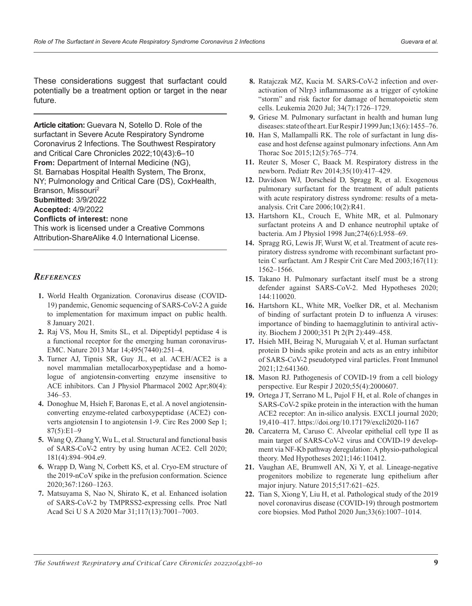These considerations suggest that surfactant could potentially be a treatment option or target in the near future.

**Article citation:** Guevara N, Sotello D. Role of the surfactant in Severe Acute Respiratory Syndrome Coronavirus 2 Infections. The Southwest Respiratory and Critical Care Chronicles 2022;10(43):6–10 **From:** Department of Internal Medicine (NG), St. Barnabas Hospital Health System, The Bronx, NY; Pulmonology and Critical Care (DS), CoxHealth, Branson, Missouri2 **Submitted:** 3/9/2022 **Accepted:** 4/9/2022 **Conflicts of interest:** none This work is licensed under a Creative Commons Attribution-ShareAlike 4.0 International License.

### *References*

- **1.** World Health Organization. Coronavirus disease (COVID-19) pandemic, Genomic sequencing of SARS-CoV-2 A guide to implementation for maximum impact on public health. 8 January 2021.
- **2.** Raj VS, Mou H, Smits SL, et al. Dipeptidyl peptidase 4 is a functional receptor for the emerging human coronavirus-EMC. Nature 2013 Mar 14;495(7440):251–4.
- **3.** Turner AJ, Tipnis SR, Guy JL, et al. ACEH/ACE2 is a novel mammalian metallocarboxypeptidase and a homologue of angiotensin-converting enzyme insensitive to ACE inhibitors. Can J Physiol Pharmacol 2002 Apr;80(4): 346–53.
- **4.** Donoghue M, Hsieh F, Baronas E, et al. A novel angiotensinconverting enzyme-related carboxypeptidase (ACE2) converts angiotensin I to angiotensin 1-9. Circ Res 2000 Sep 1;  $87(5):E1-9$
- **5.** Wang Q, Zhang Y, Wu L, et al. Structural and functional basis of SARS-CoV-2 entry by using human ACE2. Cell 2020; 181(4):894–904.e9.
- **6.** Wrapp D, Wang N, Corbett KS, et al. Cryo-EM structure of the 2019-nCoV spike in the prefusion conformation. Science 2020;367:1260–1263.
- **7.** Matsuyama S, Nao N, Shirato K, et al. Enhanced isolation of SARS-CoV-2 by TMPRSS2-expressing cells. Proc Natl Acad Sci U S A 2020 Mar 31;117(13):7001–7003.
- **8.** Ratajczak MZ, Kucia M. SARS-CoV-2 infection and overactivation of Nlrp3 inflammasome as a trigger of cytokine "storm" and risk factor for damage of hematopoietic stem cells. Leukemia 2020 Jul; 34(7):1726–1729.
- **9.** Griese M. Pulmonary surfactant in health and human lung diseases: state of the art. Eur Respir J 1999 Jun;13(6):1455–76.
- **10.** Han S, Mallampalli RK. The role of surfactant in lung disease and host defense against pulmonary infections. Ann Am Thorac Soc 2015;12(5):765–774.
- **11.** Reuter S, Moser C, Baack M. Respiratory distress in the newborn. Pediatr Rev 2014;35(10):417–429.
- **12.** Davidson WJ, Dorscheid D, Spragg R, et al. Exogenous pulmonary surfactant for the treatment of adult patients with acute respiratory distress syndrome: results of a metaanalysis. Crit Care 2006;10(2):R41.
- **13.** Hartshorn KL, Crouch E, White MR, et al. Pulmonary surfactant proteins A and D enhance neutrophil uptake of bacteria. Am J Physiol 1998 Jun;274(6):L958–69.
- **14.** Spragg RG, Lewis JF, Wurst W, et al. Treatment of acute respiratory distress syndrome with recombinant surfactant protein C surfactant. Am J Respir Crit Care Med 2003;167(11): 1562–1566.
- **15.** Takano H. Pulmonary surfactant itself must be a strong defender against SARS-CoV-2. Med Hypotheses 2020; 144:110020.
- **16.** Hartshorn KL, White MR, Voelker DR, et al. Mechanism of binding of surfactant protein D to influenza A viruses: importance of binding to haemagglutinin to antiviral activity. Biochem J 2000;351 Pt 2(Pt 2):449–458.
- **17.** Hsieh MH, Beirag N, Murugaiah V, et al. Human surfactant protein D binds spike protein and acts as an entry inhibitor of SARS-CoV-2 pseudotyped viral particles. Front Immunol 2021;12:641360.
- **18.** Mason RJ. Pathogenesis of COVID-19 from a cell biology perspective. Eur Respir J 2020;55(4):2000607.
- **19.** Ortega J T, Serrano M L, Pujol F H, et al. Role of changes in SARS-CoV-2 spike protein in the interaction with the human ACE2 receptor: An in-silico analysis. EXCLI journal 2020; 19,410–417. https://doi.org/10.17179/excli2020-1167
- **20.** Carcaterra M, Caruso C. Alveolar epithelial cell type II as main target of SARS-CoV-2 virus and COVID-19 development via NF-Kb pathway deregulation: A physio-pathological theory. Med Hypotheses 2021;146:110412.
- **21.** Vaughan AE, Brumwell AN, Xi Y, et al. Lineage-negative progenitors mobilize to regenerate lung epithelium after major injury. Nature 2015;517:621–625.
- **22.** Tian S, Xiong Y, Liu H, et al. Pathological study of the 2019 novel coronavirus disease (COVID-19) through postmortem core biopsies. Mod Pathol 2020 Jun;33(6):1007–1014.